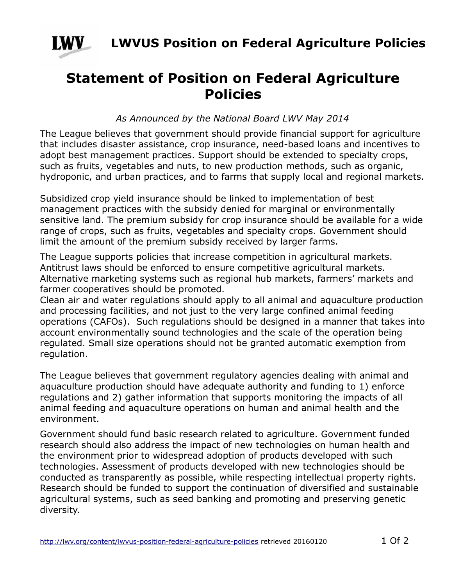

**LWVUS Position on Federal Agriculture Policies**

## **Statement of Position on Federal Agriculture Policies**

*As Announced by the National Board LWV May 2014*

The League believes that government should provide financial support for agriculture that includes disaster assistance, crop insurance, need-based loans and incentives to adopt best management practices. Support should be extended to specialty crops, such as fruits, vegetables and nuts, to new production methods, such as organic, hydroponic, and urban practices, and to farms that supply local and regional markets.

Subsidized crop yield insurance should be linked to implementation of best management practices with the subsidy denied for marginal or environmentally sensitive land. The premium subsidy for crop insurance should be available for a wide range of crops, such as fruits, vegetables and specialty crops. Government should limit the amount of the premium subsidy received by larger farms.

The League supports policies that increase competition in agricultural markets. Antitrust laws should be enforced to ensure competitive agricultural markets. Alternative marketing systems such as regional hub markets, farmers' markets and farmer cooperatives should be promoted.

Clean air and water regulations should apply to all animal and aquaculture production and processing facilities, and not just to the very large confined animal feeding operations (CAFOs). Such regulations should be designed in a manner that takes into account environmentally sound technologies and the scale of the operation being regulated. Small size operations should not be granted automatic exemption from regulation.

The League believes that government regulatory agencies dealing with animal and aquaculture production should have adequate authority and funding to 1) enforce regulations and 2) gather information that supports monitoring the impacts of all animal feeding and aquaculture operations on human and animal health and the environment.

Government should fund basic research related to agriculture. Government funded research should also address the impact of new technologies on human health and the environment prior to widespread adoption of products developed with such technologies. Assessment of products developed with new technologies should be conducted as transparently as possible, while respecting intellectual property rights. Research should be funded to support the continuation of diversified and sustainable agricultural systems, such as seed banking and promoting and preserving genetic diversity.